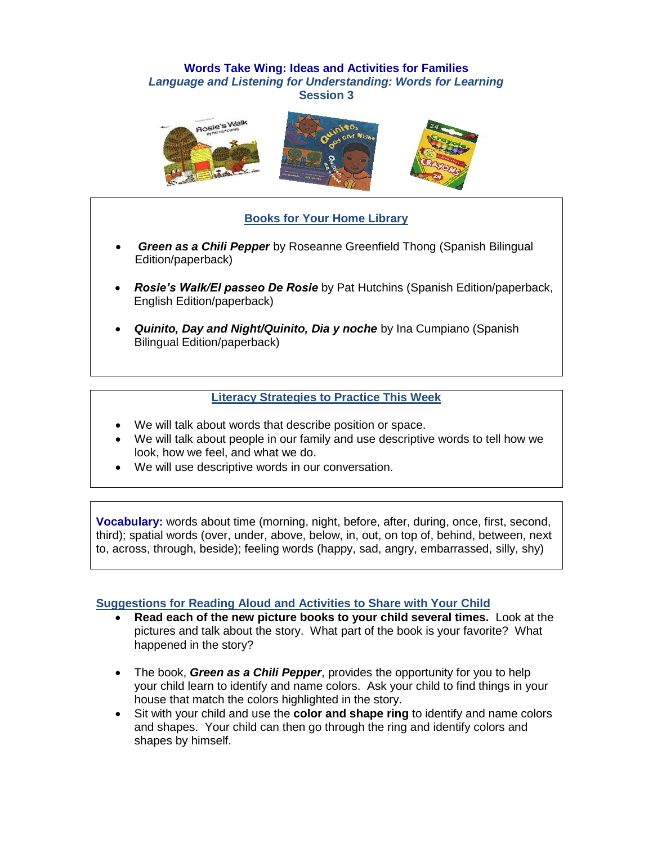### **Words Take Wing: Ideas and Activities for Families** *Language and Listening for Understanding: Words for Learning* **Session 3**



# **Books for Your Home Library**

- *Green as a Chili Pepper* by Roseanne Greenfield Thong (Spanish Bilingual Edition/paperback)
- *Rosie's Walk/El passeo De Rosie* by Pat Hutchins (Spanish Edition/paperback, English Edition/paperback)
- *Quinito, Day and Night/Quinito, Dia y noche by Ina Cumpiano (Spanish)* Bilingual Edition/paperback)

### **Literacy Strategies to Practice This Week**

- We will talk about words that describe position or space.
- We will talk about people in our family and use descriptive words to tell how we look, how we feel, and what we do.
- We will use descriptive words in our conversation.

**Vocabulary:** words about time (morning, night, before, after, during, once, first, second, third); spatial words (over, under, above, below, in, out, on top of, behind, between, next to, across, through, beside); feeling words (happy, sad, angry, embarrassed, silly, shy)

#### **Suggestions for Reading Aloud and Activities to Share with Your Child**

- **Read each of the new picture books to your child several times.** Look at the pictures and talk about the story. What part of the book is your favorite? What happened in the story?
- The book, *Green as a Chili Pepper*, provides the opportunity for you to help your child learn to identify and name colors. Ask your child to find things in your house that match the colors highlighted in the story.
- Sit with your child and use the **color and shape ring** to identify and name colors and shapes. Your child can then go through the ring and identify colors and shapes by himself.